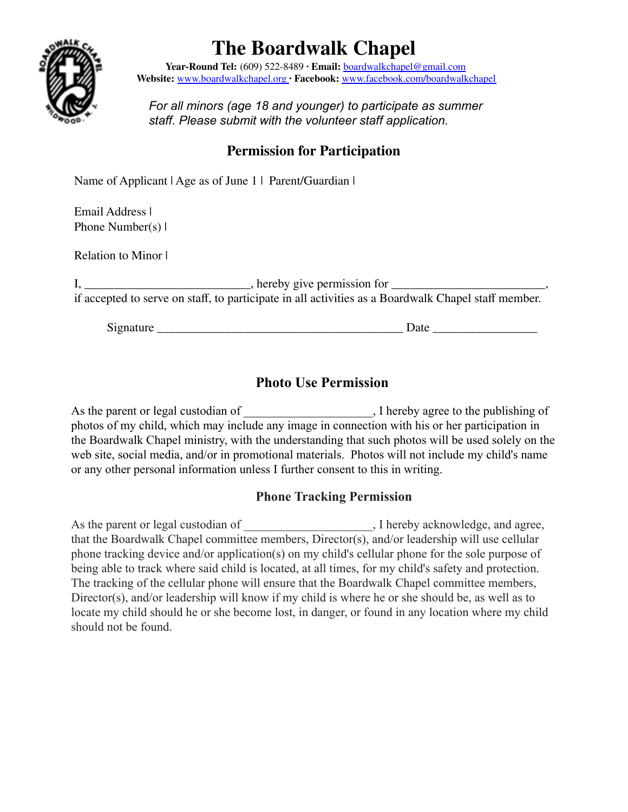

# **The Boardwalk Chapel**

**Year-Round Tel:** (609) 522-8489 **∙ Email:** boardwalkchapel@gmail.com **Website:** www.boardwalkchapel.org **∙ Facebook:** www.facebook.com/boardwalkchapel

*For all minors (age 18 and younger) to participate as summer staff. Please submit with the volunteer staff application.*

## **Permission for Participation**

Name of Applicant | Age as of June 1 | Parent/Guardian |

Email Address | Phone Number(s) |

Relation to Minor |

I, \_\_\_\_\_\_\_\_\_\_\_\_\_\_\_\_\_\_\_\_\_\_\_\_\_\_\_\_, hereby give permission for \_\_\_\_\_\_\_\_\_\_\_\_\_\_\_\_\_\_\_\_\_\_\_\_\_, if accepted to serve on staff, to participate in all activities as a Boardwalk Chapel staff member.

Signature \_\_\_\_\_\_\_\_\_\_\_\_\_\_\_\_\_\_\_\_\_\_\_\_\_\_\_\_\_\_\_\_\_\_\_\_\_\_\_\_ Date \_\_\_\_\_\_\_\_\_\_\_\_\_\_\_\_\_

### **Photo Use Permission**

As the parent or legal custodian of \_\_\_\_\_\_\_\_\_\_\_\_\_\_\_\_\_\_\_, I hereby agree to the publishing of photos of my child, which may include any image in connection with his or her participation in the Boardwalk Chapel ministry, with the understanding that such photos will be used solely on the web site, social media, and/or in promotional materials. Photos will not include my child's name or any other personal information unless I further consent to this in writing.

#### **Phone Tracking Permission**

As the parent or legal custodian of  $\blacksquare$ , I hereby acknowledge, and agree, that the Boardwalk Chapel committee members, Director(s), and/or leadership will use cellular phone tracking device and/or application(s) on my child's cellular phone for the sole purpose of being able to track where said child is located, at all times, for my child's safety and protection. The tracking of the cellular phone will ensure that the Boardwalk Chapel committee members, Director(s), and/or leadership will know if my child is where he or she should be, as well as to locate my child should he or she become lost, in danger, or found in any location where my child should not be found.